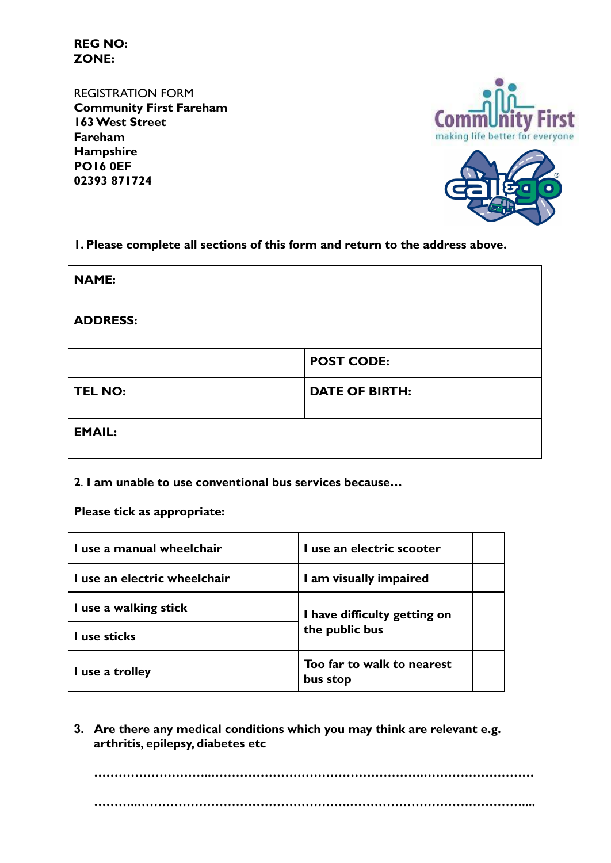**REG NO: ZONE:**

REGISTRATION FORM **Community First Fareham 163 West Street Fareham Hampshire PO16 0EF 02393 871724**





**1. Please complete all sections of this form and return to the address above.**

| <b>NAME:</b>    |                       |
|-----------------|-----------------------|
| <b>ADDRESS:</b> |                       |
|                 | <b>POST CODE:</b>     |
| <b>TEL NO:</b>  | <b>DATE OF BIRTH:</b> |
| <b>EMAIL:</b>   |                       |

**2**. **I am unable to use conventional bus services because…**

**Please tick as appropriate:**

| I use a manual wheelchair    | I use an electric scooter              |  |
|------------------------------|----------------------------------------|--|
| I use an electric wheelchair | I am visually impaired                 |  |
| I use a walking stick        | I have difficulty getting on           |  |
| I use sticks                 | the public bus                         |  |
| I use a trolley              | Too far to walk to nearest<br>bus stop |  |

**3. Are there any medical conditions which you may think are relevant e.g. arthritis, epilepsy, diabetes etc**

**………………………..…………………………………………….……………………… ………..…………………………………………….……………………………………....**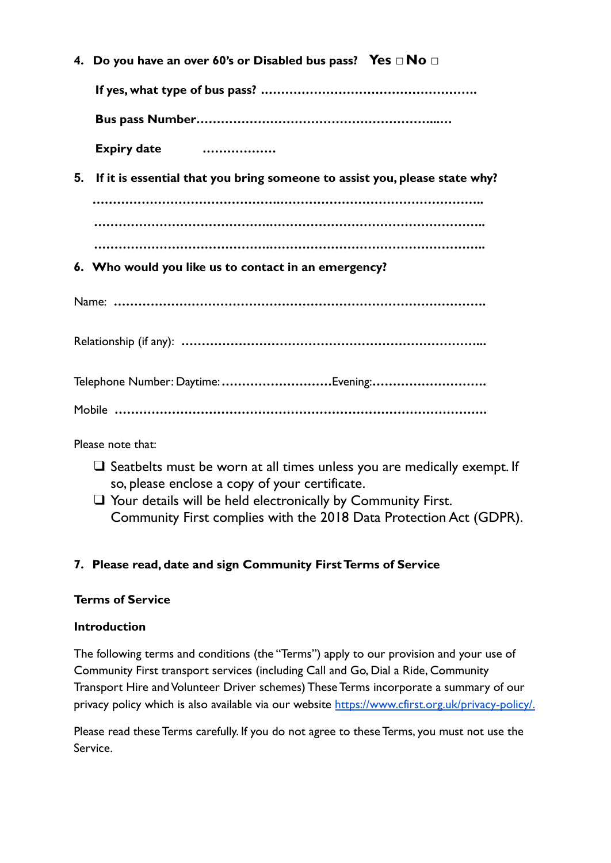|    | 4. Do you have an over 60's or Disabled bus pass? Yes $\Box$ No $\Box$     |
|----|----------------------------------------------------------------------------|
|    |                                                                            |
|    |                                                                            |
|    | Expiry date                                                                |
| 5. | If it is essential that you bring someone to assist you, please state why? |
|    |                                                                            |
|    |                                                                            |
|    |                                                                            |
|    | 6. Who would you like us to contact in an emergency?                       |
|    |                                                                            |
|    |                                                                            |
|    | Telephone Number: Daytime: Evening:                                        |
|    |                                                                            |
|    |                                                                            |

Please note that:

- □ Seatbelts must be worn at all times unless you are medically exempt. If so, please enclose a copy of your certificate.
- ❑ Your details will be held electronically by Community First. Community First complies with the 2018 Data Protection Act (GDPR).

# **7. Please read, date and sign Community First Terms of Service**

## **Terms of Service**

## **Introduction**

The following terms and conditions (the "Terms") apply to our provision and your use of Community First transport services (including Call and Go, Dial a Ride, Community Transport Hire and Volunteer Driver schemes) These Terms incorporate a summary of our privacy policy which is also available via our website [https://www.cfirst.org.uk/privacy-policy/.](https://www.cfirst.org.uk/privacy-and-cookies-policy/)

Please read these Terms carefully. If you do not agree to these Terms, you must not use the Service.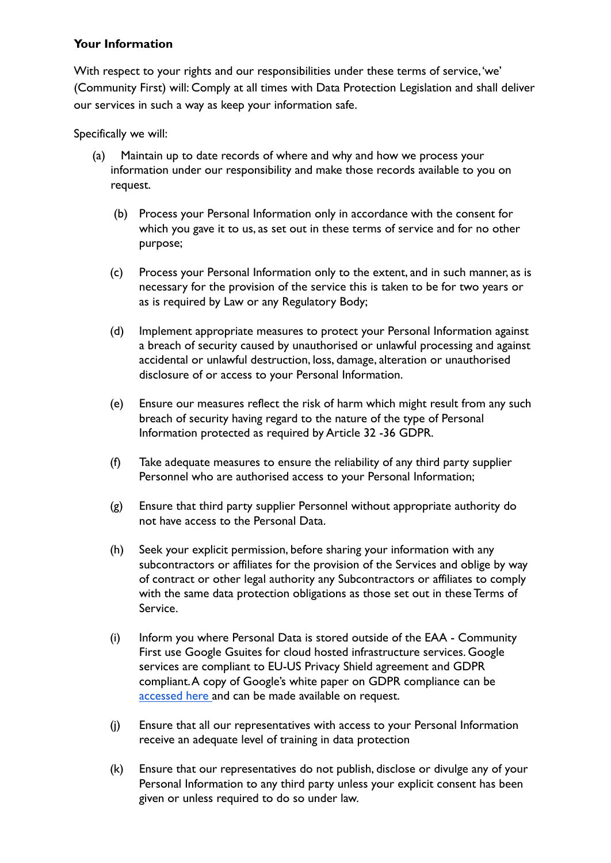#### **Your Information**

With respect to your rights and our responsibilities under these terms of service,'we' (Community First) will: Comply at all times with Data Protection Legislation and shall deliver our services in such a way as keep your information safe.

Specifically we will:

- (a) Maintain up to date records of where and why and how we process your information under our responsibility and make those records available to you on request.
	- (b) Process your Personal Information only in accordance with the consent for which you gave it to us, as set out in these terms of service and for no other purpose;
	- (c) Process your Personal Information only to the extent, and in such manner, as is necessary for the provision of the service this is taken to be for two years or as is required by Law or any Regulatory Body;
	- (d) Implement appropriate measures to protect your Personal Information against a breach of security caused by unauthorised or unlawful processing and against accidental or unlawful destruction, loss, damage, alteration or unauthorised disclosure of or access to your Personal Information.
	- (e) Ensure our measures reflect the risk of harm which might result from any such breach of security having regard to the nature of the type of Personal Information protected as required by Article 32 -36 GDPR.
	- (f) Take adequate measures to ensure the reliability of any third party supplier Personnel who are authorised access to your Personal Information;
	- (g) Ensure that third party supplier Personnel without appropriate authority do not have access to the Personal Data.
	- (h) Seek your explicit permission, before sharing your information with any subcontractors or affiliates for the provision of the Services and oblige by way of contract or other legal authority any Subcontractors or affiliates to comply with the same data protection obligations as those set out in these Terms of Service.
	- (i) Inform you where Personal Data is stored outside of the EAA Community First use Google Gsuites for cloud hosted infrastructure services. Google services are compliant to EU-US Privacy Shield agreement and GDPR compliant.A copy of Google's white paper on GDPR compliance can be [accessed here](https://services.google.com/fh/files/misc/google_cloud_and_the_gdpr_english.pdf) and can be made available on request.
	- (j) Ensure that all our representatives with access to your Personal Information receive an adequate level of training in data protection
	- (k) Ensure that our representatives do not publish, disclose or divulge any of your Personal Information to any third party unless your explicit consent has been given or unless required to do so under law.